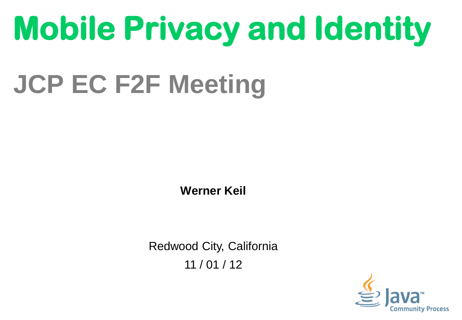# **Mobile Privacy and Identity**

# **JCP EC F2F Meeting**

**Werner Keil**

Redwood City, California 11 / 01 / 12

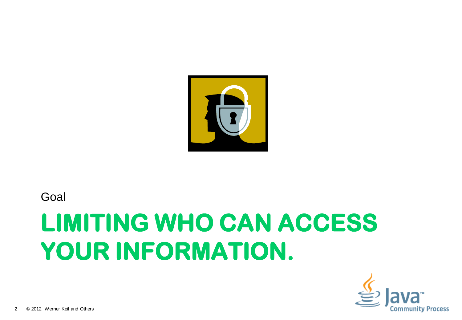

#### Goal

# **LIMITING WHO CAN ACCESS YOUR INFORMATION.**

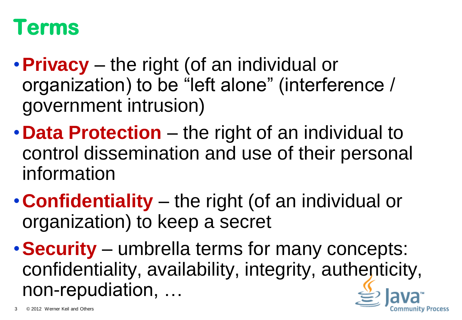#### **Terms**

- •**Privacy** the right (of an individual or organization) to be "left alone" (interference / government intrusion)
- •**Data Protection** the right of an individual to control dissemination and use of their personal information
- •**Confidentiality** the right (of an individual or organization) to keep a secret
- •**Security** umbrella terms for many concepts: confidentiality, availability, integrity, authenticity, non-repudiation, …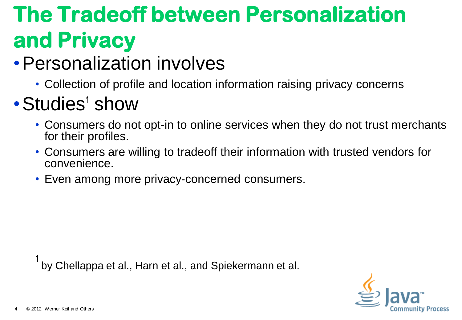# **The Tradeoff between Personalization and Privacy**

#### •Personalization involves

• Collection of profile and location information raising privacy concerns

#### $\cdot$  Studies<sup>1</sup> show

- Consumers do not opt-in to online services when they do not trust merchants for their profiles.
- Consumers are willing to tradeoff their information with trusted vendors for convenience.
- Even among more privacy-concerned consumers.

by Chellappa et al., Harn et al., and Spiekermann et al.

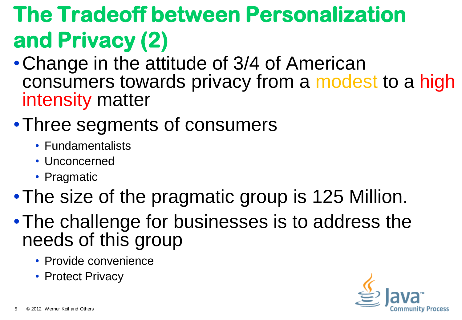# **The Tradeoff between Personalization and Privacy (2)**

- •Change in the attitude of 3/4 of American consumers towards privacy from a modest to a high intensity matter
- •Three segments of consumers
	- Fundamentalists
	- Unconcerned
	- Pragmatic
- •The size of the pragmatic group is 125 Million.
- •The challenge for businesses is to address the needs of this group
	- Provide convenience
	- Protect Privacy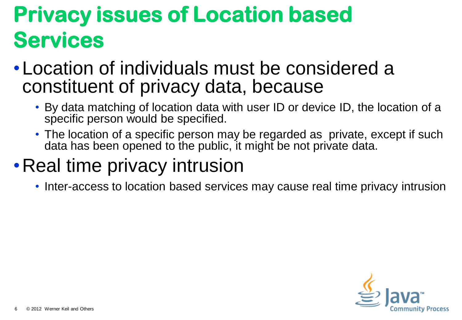## **Privacy issues of Location based Services**

- •Location of individuals must be considered a constituent of privacy data, because
	- By data matching of location data with user ID or device ID, the location of a specific person would be specified.
	- The location of a specific person may be regarded as private, except if such data has been opened to the public, it might be not private data.

#### • Real time privacy intrusion

• Inter-access to location based services may cause real time privacy intrusion

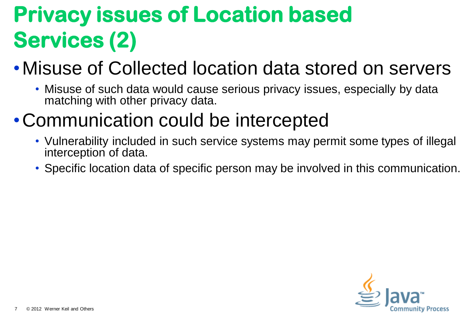# **Privacy issues of Location based Services (2)**

#### •Misuse of Collected location data stored on servers

• Misuse of such data would cause serious privacy issues, especially by data matching with other privacy data.

#### •Communication could be intercepted

- Vulnerability included in such service systems may permit some types of illegal interception of data.
- Specific location data of specific person may be involved in this communication.

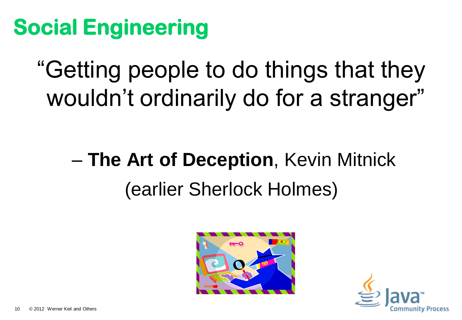# **Social Engineering**

"Getting people to do things that they wouldn"t ordinarily do for a stranger"

# – **The Art of Deception**, Kevin Mitnick (earlier Sherlock Holmes)



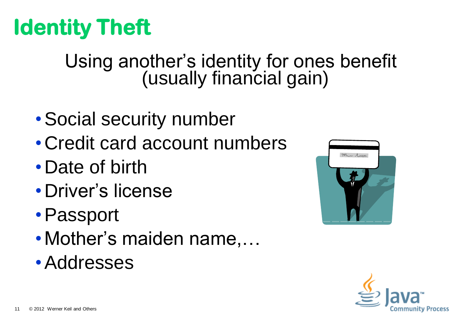# **Identity Theft**

#### Using another's identity for ones benefit (usually financial gain)

- •Social security number
- •Credit card account numbers
- •Date of birth
- •Driver"s license
- •Passport
- Mother's maiden name,...
- •Addresses



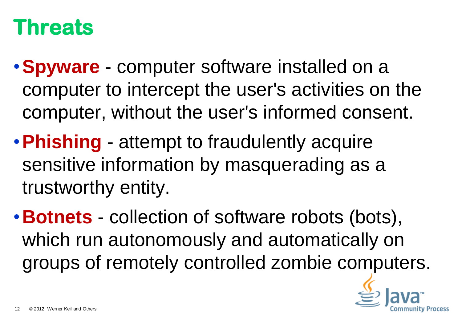### **Threats**

- •**Spyware** computer software installed on a computer to intercept the user's activities on the computer, without the user's informed consent.
- •**Phishing** attempt to fraudulently acquire sensitive information by masquerading as a trustworthy entity.
- •**Botnets** collection of software robots (bots), which run autonomously and automatically on groups of remotely controlled zombie computers.

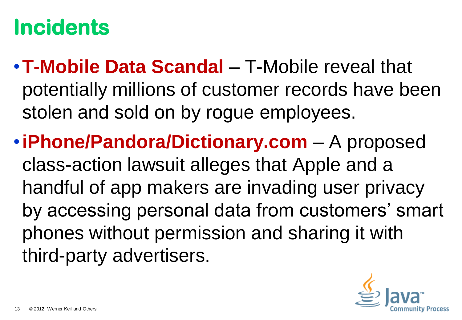## **Incidents**

- •**T-Mobile Data Scandal** T-Mobile reveal that potentially millions of customer records have been stolen and sold on by rogue employees.
- •**iPhone/Pandora/Dictionary.com** A proposed class-action lawsuit alleges that Apple and a handful of app makers are invading user privacy by accessing personal data from customers' smart phones without permission and sharing it with third-party advertisers.

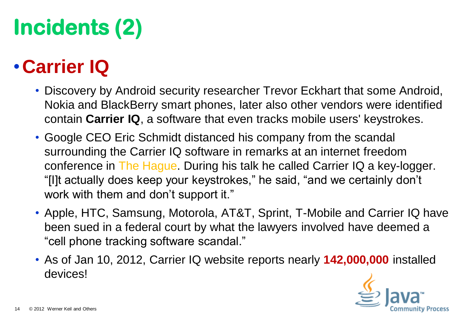# **Incidents (2)**

#### •**Carrier IQ**

- Discovery by Android security researcher Trevor Eckhart that some Android, Nokia and BlackBerry smart phones, later also other vendors were identified contain **Carrier IQ**, a software that even tracks mobile users' keystrokes.
- Google CEO Eric Schmidt distanced his company from the scandal surrounding the Carrier IQ software in remarks at an internet freedom conference in The Hague. During his talk he called Carrier IQ a key-logger. "[I]t actually does keep your keystrokes," he said, "and we certainly don"t work with them and don't support it."
- Apple, HTC, Samsung, Motorola, AT&T, Sprint, T-Mobile and Carrier IQ have been sued in a federal court by what the lawyers involved have deemed a "cell phone tracking software scandal."
- As of Jan 10, 2012, Carrier IQ website reports nearly **142,000,000** installed devices!

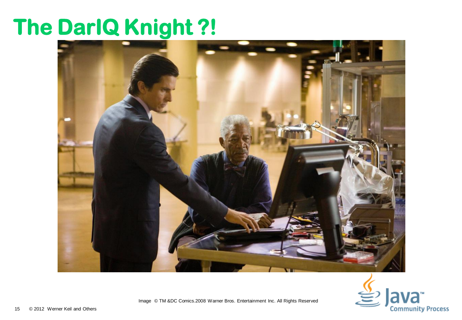### **The DarIQ Knight ?!**





Image © TM &DC Comics.2008 Warner Bros. Entertainment Inc. All Rights Reserved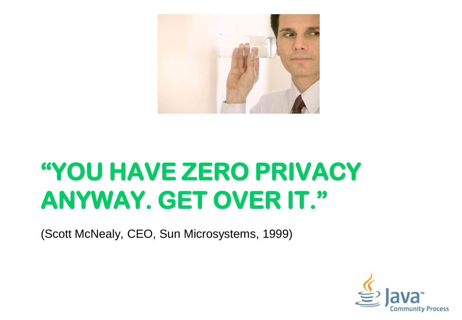

# **"YOU HAVE ZERO PRIVACY ANYWAY. GET OVER IT."**

(Scott McNealy, CEO, Sun Microsystems, 1999)